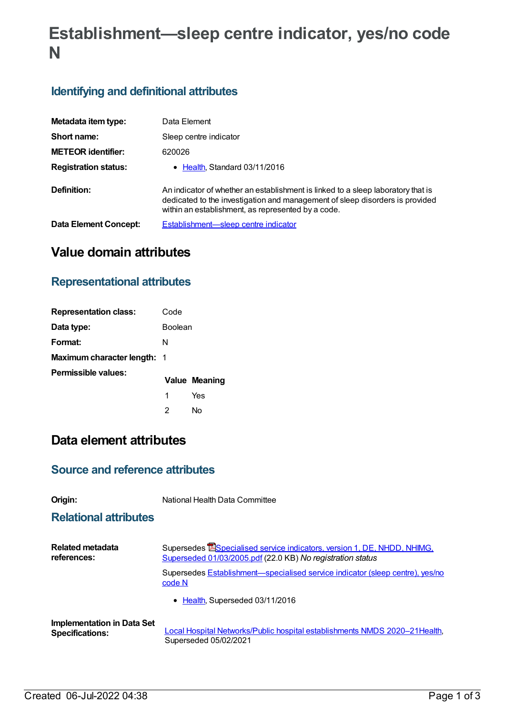# **Establishment—sleep centre indicator, yes/no code N**

#### **Identifying and definitional attributes**

| Metadata item type:         | Data Element                                                                                                                                                                                                           |
|-----------------------------|------------------------------------------------------------------------------------------------------------------------------------------------------------------------------------------------------------------------|
| Short name:                 | Sleep centre indicator                                                                                                                                                                                                 |
| <b>METEOR identifier:</b>   | 620026                                                                                                                                                                                                                 |
| <b>Registration status:</b> | • Health, Standard 03/11/2016                                                                                                                                                                                          |
| Definition:                 | An indicator of whether an establishment is linked to a sleep laboratory that is<br>dedicated to the investigation and management of sleep disorders is provided<br>within an establishment, as represented by a code. |
| Data Element Concept:       | Establishment—sleep centre indicator                                                                                                                                                                                   |

## **Value domain attributes**

#### **Representational attributes**

| <b>Representation class:</b>       | Code           |               |
|------------------------------------|----------------|---------------|
| Data type:                         | <b>Boolean</b> |               |
| Format:                            | N              |               |
| <b>Maximum character length: 1</b> |                |               |
| Permissible values:                |                | Value Meaning |
|                                    | 1              | Yes           |
|                                    | 2              | N٥            |

### **Data element attributes**

#### **Source and reference attributes**

|  | ır | ı |
|--|----|---|
|  |    | ٠ |
|  |    |   |

**Origin:** National Health Data Committee

#### **Relational attributes**

| <b>Related metadata</b>           | Supersedes <b>ESpecialised service indicators, version 1, DE, NHDD, NHIMG,</b>                  |  |
|-----------------------------------|-------------------------------------------------------------------------------------------------|--|
| references:                       | Superseded 01/03/2005.pdf (22.0 KB) No registration status                                      |  |
|                                   | Supersedes <b>Establishment</b> —specialised service indicator (sleep centre), yes/no<br>code N |  |
|                                   | • Health, Superseded 03/11/2016                                                                 |  |
| <b>Implementation in Data Set</b> | Local Hospital Networks/Public hospital establishments NMDS 2020-21 Health,                     |  |
| <b>Specifications:</b>            | Superseded 05/02/2021                                                                           |  |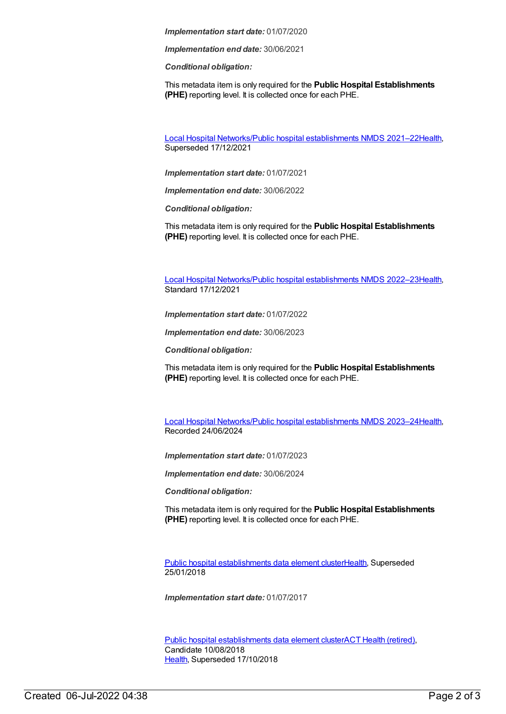*Implementation start date:* 01/07/2020

*Implementation end date:* 30/06/2021

*Conditional obligation:*

This metadata item is only required for the **Public Hospital Establishments (PHE)** reporting level. It is collected once for each PHE.

Local Hospital [Networks/Public](https://meteor.aihw.gov.au/content/727356) hospital establishments NMDS 2021–22[Health](https://meteor.aihw.gov.au/RegistrationAuthority/12), Superseded 17/12/2021

*Implementation start date:* 01/07/2021

*Implementation end date:* 30/06/2022

*Conditional obligation:*

This metadata item is only required for the **Public Hospital Establishments (PHE)** reporting level. It is collected once for each PHE.

Local Hospital [Networks/Public](https://meteor.aihw.gov.au/content/742044) hospital establishments NMDS 2022–23[Health](https://meteor.aihw.gov.au/RegistrationAuthority/12), Standard 17/12/2021

*Implementation start date:* 01/07/2022

*Implementation end date:* 30/06/2023

*Conditional obligation:*

This metadata item is only required for the **Public Hospital Establishments (PHE)** reporting level. It is collected once for each PHE.

Local Hospital [Networks/Public](https://meteor.aihw.gov.au/content/756101) hospital establishments NMDS 2023–24[Health](https://meteor.aihw.gov.au/RegistrationAuthority/12), Recorded 24/06/2024

*Implementation start date:* 01/07/2023

*Implementation end date:* 30/06/2024

*Conditional obligation:*

This metadata item is only required for the **Public Hospital Establishments (PHE)** reporting level. It is collected once for each PHE.

Public hospital [establishments](https://meteor.aihw.gov.au/content/643172) data element cluste[rHealth](https://meteor.aihw.gov.au/RegistrationAuthority/12), Superseded 25/01/2018

*Implementation start date:* 01/07/2017

Public hospital [establishments](https://meteor.aihw.gov.au/content/679217) data element clusterACT Health [\(retired\)](https://meteor.aihw.gov.au/RegistrationAuthority/9), Candidate 10/08/2018 [Health](https://meteor.aihw.gov.au/RegistrationAuthority/12), Superseded 17/10/2018